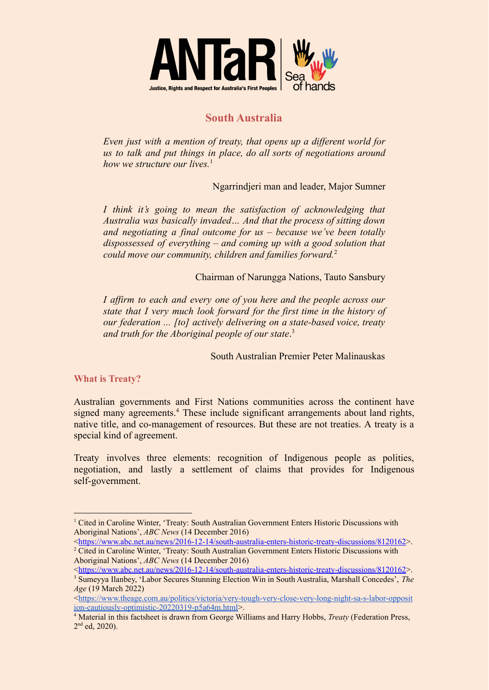

## **South Australia**

*Even just with a mention of treaty, that opens up a different world for us to talk and put things in place, do all sorts of negotiations around how we structure our lives*.<sup>1</sup>

Ngarrindjeri man and leader, Major Sumner

*I think it's going to mean the satisfaction of acknowledging that Australia was basically invaded… And that the process of sitting down and negotiating a final outcome for us – because we've been totally dispossessed of everything – and coming up with a good solution that could move our community, children and families forward.*<sup>2</sup>

Chairman of Narungga Nations, Tauto Sansbury

*I affirm to each and every one of you here and the people across our state that I very much look forward for the first time in the history of our federation ... [to] actively delivering on a state-based voice, treaty and truth for the Aboriginal people of our state*. 3

South Australian Premier Peter Malinauskas

**What is Treaty?**

Australian governments and First Nations communities across the continent have signed many agreements.<sup>4</sup> These include significant arrangements about land rights, native title, and co-management of resources. But these are not treaties. A treaty is a special kind of agreement.

Treaty involves three elements: recognition of Indigenous people as polities, negotiation, and lastly a settlement of claims that provides for Indigenous self-government.

<sup>1</sup> Cited in Caroline Winter, 'Treaty: South Australian Government Enters Historic Discussions with Aboriginal Nations', *ABC News* (14 December 2016)

<sup>&</sup>lt;sup>2</sup> Cited in Caroline Winter, 'Treaty: South Australian Government Enters Historic Discussions with Aboriginal Nations', *ABC News* (14 December 2016)  $\langle \frac{https://www.abc.net.au/news/2016-12-14/south-australia-enters-historic-treaty-discussions/8120162\rangle}{https://www.abc.net.au/news/2016-12-14/south-australia-enters-historic-treaty-discussions/8120162\rangle}.$  $\langle \frac{https://www.abc.net.au/news/2016-12-14/south-australia-enters-historic-treaty-discussions/8120162\rangle}{https://www.abc.net.au/news/2016-12-14/south-australia-enters-historic-treaty-discussions/8120162\rangle}.$  $\langle \frac{https://www.abc.net.au/news/2016-12-14/south-australia-enters-historic-treaty-discussions/8120162\rangle}{https://www.abc.net.au/news/2016-12-14/south-australia-enters-historic-treaty-discussions/8120162\rangle}.$ 

<sup>&</sup>lt;<https://www.abc.net.au/news/2016-12-14/south-australia-enters-historic-treaty-discussions/8120162>>.

<sup>&</sup>lt;sup>3</sup> Sumeyya Ilanbey, 'Labor Secures Stunning Election Win in South Australia, Marshall Concedes', *The Age* (19 March 2022)

 $\langle \frac{\text{https://www.theage.com.au/politics/victoria/very-cough-very-close-very-long-night-sa-s-labor-opposit}}{\text{https://www.theage.com.au/politics/victoria/very-cough-very-close-very-long-night-sa-s-labor-opposit}}$ [ion-cautiously-optimistic-20220319-p5a64m.html](https://www.theage.com.au/politics/victoria/very-tough-very-close-very-long-night-sa-s-labor-opposition-cautiously-optimistic-20220319-p5a64m.html)>.

<sup>4</sup> Material in this factsheet is drawn from George Williams and Harry Hobbs, *Treaty* (Federation Press, 2<sup>nd</sup> ed, 2020).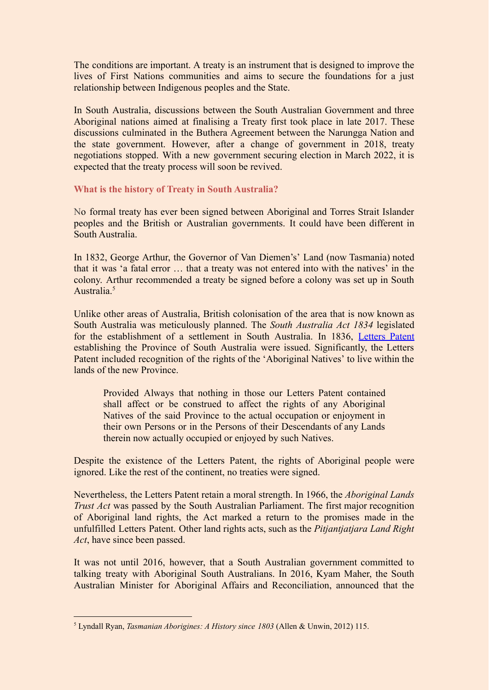The conditions are important. A treaty is an instrument that is designed to improve the lives of First Nations communities and aims to secure the foundations for a just relationship between Indigenous peoples and the State.

In South Australia, discussions between the South Australian Government and three Aboriginal nations aimed at finalising a Treaty first took place in late 2017. These discussions culminated in the Buthera Agreement between the Narungga Nation and the state government. However, after a change of government in 2018, treaty negotiations stopped. With a new government securing election in March 2022, it is expected that the treaty process will soon be revived.

**What is the history of Treaty in South Australia?**

No formal treaty has ever been signed between Aboriginal and Torres Strait Islander peoples and the British or Australian governments. It could have been different in South Australia.

In 1832, George Arthur, the Governor of Van Diemen's' Land (now Tasmania) noted that it was 'a fatal error … that a treaty was not entered into with the natives' in the colony. Arthur recommended a treaty be signed before a colony was set up in South Australia<sup>5</sup>

Unlike other areas of Australia, British colonisation of the area that is now known as South Australia was meticulously planned. The *South Australia Act 1834* legislated for the establishment of a settlement in South Australia. In 1836, [Letters](https://www.foundingdocs.gov.au/resources/transcripts/sa2_doc_1836.pdf) Patent establishing the Province of South Australia were issued. Significantly, the Letters Patent included recognition of the rights of the 'Aboriginal Natives' to live within the lands of the new Province.

Provided Always that nothing in those our Letters Patent contained shall affect or be construed to affect the rights of any Aboriginal Natives of the said Province to the actual occupation or enjoyment in their own Persons or in the Persons of their Descendants of any Lands therein now actually occupied or enjoyed by such Natives.

Despite the existence of the Letters Patent, the rights of Aboriginal people were ignored. Like the rest of the continent, no treaties were signed.

Nevertheless, the Letters Patent retain a moral strength. In 1966, the *Aboriginal Lands Trust Act* was passed by the South Australian Parliament. The first major recognition of Aboriginal land rights, the Act marked a return to the promises made in the unfulfilled Letters Patent. Other land rights acts, such as the *Pitjantjatjara Land Right Act*, have since been passed.

It was not until 2016, however, that a South Australian government committed to talking treaty with Aboriginal South Australians. In 2016, Kyam Maher, the South Australian Minister for Aboriginal Affairs and Reconciliation, announced that the

<sup>5</sup> Lyndall Ryan, *Tasmanian Aborigines: A History since 1803* (Allen & Unwin, 2012) 115.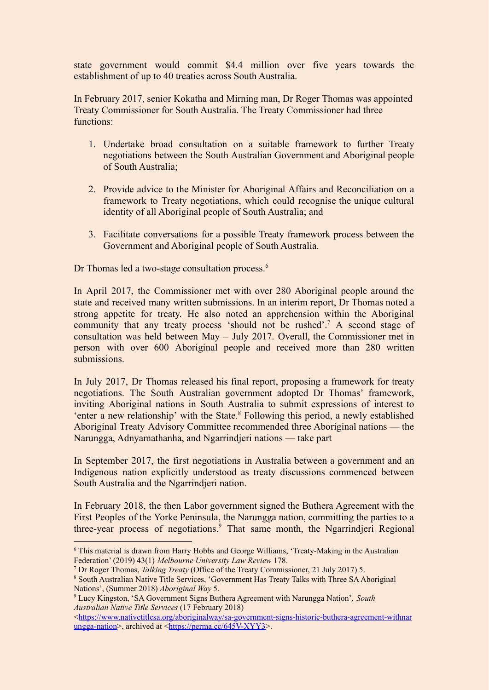state government would commit \$4.4 million over five years towards the establishment of up to 40 treaties across South Australia.

In February 2017, senior Kokatha and Mirning man, Dr Roger Thomas was appointed Treaty Commissioner for South Australia. The Treaty Commissioner had three functions:

- 1. Undertake broad consultation on a suitable framework to further Treaty negotiations between the South Australian Government and Aboriginal people of South Australia;
- 2. Provide advice to the Minister for Aboriginal Affairs and Reconciliation on a framework to Treaty negotiations, which could recognise the unique cultural identity of all Aboriginal people of South Australia; and
- 3. Facilitate conversations for a possible Treaty framework process between the Government and Aboriginal people of South Australia.

Dr Thomas led a two-stage consultation process.<sup>6</sup>

In April 2017, the Commissioner met with over 280 Aboriginal people around the state and received many written submissions. In an interim report, Dr Thomas noted a strong appetite for treaty. He also noted an apprehension within the Aboriginal community that any treaty process 'should not be rushed'.<sup>7</sup> A second stage of consultation was held between May – July 2017. Overall, the Commissioner met in person with over 600 Aboriginal people and received more than 280 written submissions.

In July 2017, Dr Thomas released his final report, proposing a framework for treaty negotiations. The South Australian government adopted Dr Thomas' framework, inviting Aboriginal nations in South Australia to submit expressions of interest to 'enter a new relationship' with the State.<sup>8</sup> Following this period, a newly established Aboriginal Treaty Advisory Committee recommended three Aboriginal nations — the Narungga, Adnyamathanha, and Ngarrindjeri nations — take part

In September 2017, the first negotiations in Australia between a government and an Indigenous nation explicitly understood as treaty discussions commenced between South Australia and the Ngarrindjeri nation.

In February 2018, the then Labor government signed the Buthera Agreement with the First Peoples of the Yorke Peninsula, the Narungga nation, committing the parties to a three-year process of negotiations.<sup>9</sup> That same month, the Ngarrindjeri Regional

<sup>6</sup> This material is drawn from Harry Hobbs and George Williams, 'Treaty-Making in the Australian Federation' (2019) 43(1) *Melbourne University Law Review* 178.

<sup>7</sup> Dr Roger Thomas, *Talking Treaty* (Office of the Treaty Commissioner, 21 July 2017) 5.

<sup>&</sup>lt;sup>8</sup> South Australian Native Title Services, 'Government Has Treaty Talks with Three SA Aboriginal Nations', (Summer 2018) *Aboriginal Way* 5.

<sup>9</sup> Lucy Kingston, 'SA Government Signs Buthera Agreement with Narungga Nation', *South Australian Native Title Services* (17 February 2018)

<sup>&</sup>lt;[https://www.nativetitlesa.org/aboriginalway/sa-government-signs-historic-buthera-agreement-withnar](https://www.nativetitlesa.org/aboriginalway/sa-government-signs-historic-buthera-agreement-withnarungga-nation) [ungga-nation>](https://www.nativetitlesa.org/aboriginalway/sa-government-signs-historic-buthera-agreement-withnarungga-nation), archived at <[https://perma.cc/645V-XYY3>](https://perma.cc/645V-XYY3).